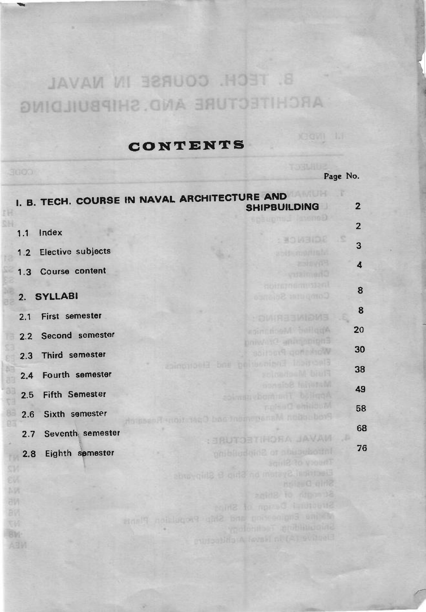**B. TECH. COURSE IN NAVAL** ARCHITECTURE AND. SHIPBUILDING

ETRE

COMMAND

## CONTENTS

| GOO. |                          |                                                                                         | Page No.       |
|------|--------------------------|-----------------------------------------------------------------------------------------|----------------|
|      |                          | I. B. TECH. COURSE IN NAVAL ARCHITECTURE AND<br><b>SHIPBUILDING</b><br>General Lunguage | $\overline{2}$ |
| 1.1  | Index                    |                                                                                         | $\overline{2}$ |
|      |                          | <b>SCIENCE:</b>                                                                         | 3              |
| 1.2  | <b>Elective subjects</b> | and amunic                                                                              |                |
| 1.3  | Course content           | <b>ENEVAR</b><br><b>Chemistry</b>                                                       | 4              |
|      |                          | noitoznem szant                                                                         |                |
| 2.   | <b>SYLLABI</b>           | Computer Science                                                                        | 8              |
|      |                          |                                                                                         | 8              |
| 2.1  | First semester           | <b>CONGRESSIONS</b>                                                                     |                |
| 2.2  | Second semester          | apininosM bellodA                                                                       | 20             |
|      |                          | priiwing animoniphe<br>Borthart gotterfold                                              | 30             |
| 2.3  | Third semester           | campacoli bne pailoming loagroals                                                       |                |
| 2.4  | Fourth semester          | scloudselle biuli                                                                       | 38             |
|      |                          | Material Science                                                                        | 49             |
| 2.5  | <b>Fifth Semester</b>    | solman ybordred T bollegaA                                                              |                |
| 2.6  | Sixth semester           | noted while of                                                                          | 58             |
|      |                          | Production Management con Constant Reads                                                | 68             |
| 2.7  | Seventh, semester        | NAVAL ARCHITECTURE:                                                                     |                |
| 2.8  | Eighth semester          | probledate to Scientist                                                                 | 76             |
|      |                          | equip to your                                                                           |                |
|      |                          | Decline in System bn Ship & Shipyand                                                    |                |
|      |                          | <b>Ship Design</b>                                                                      |                |
|      |                          | anide to dismit                                                                         |                |
|      |                          | Strechting Design of Ships                                                              |                |
|      |                          | White Engineering and Ship Propulsion Plants<br>vanimition of antibioging               |                |
|      |                          | cursating A femili ni (Ar evitral)                                                      |                |
|      |                          |                                                                                         |                |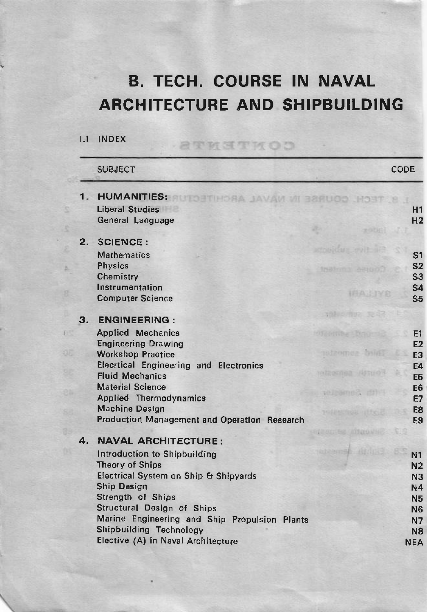# B. TECH. COURSE IN NAVAL ARCHITECTURE AND SHIPBUILDING

CONTER

#### t.l tNDEx

£)

|    | <b>SUBJECT</b>                                                                                                                                                                                                                                                                                                           |                                                                                                    | <b>CODE</b>                                                                                                                            |
|----|--------------------------------------------------------------------------------------------------------------------------------------------------------------------------------------------------------------------------------------------------------------------------------------------------------------------------|----------------------------------------------------------------------------------------------------|----------------------------------------------------------------------------------------------------------------------------------------|
| 1. | <b>Liberal Studies</b><br>General Language                                                                                                                                                                                                                                                                               | 388000                                                                                             | H <sub>1</sub><br>H <sub>2</sub>                                                                                                       |
| 2. | <b>SCIENCE:</b><br><b>Mathematics</b><br><b>Physics</b><br>Chemistry<br>Instrumentation<br><b>Computer Science</b>                                                                                                                                                                                                       | <b>IRABI</b>                                                                                       | S <sub>1</sub><br>S <sub>2</sub><br>S <sub>3</sub><br><b>S4</b><br>S <sub>5</sub>                                                      |
| 3. | <b>ENGINEERING:</b><br><b>Applied Mechanics</b><br><b>Engineering Drawing</b><br><b>Workshop Practice</b><br><b>Elecrtical Engineering and Electronics</b><br><b>Fluid Mechanics</b><br><b>Material Science</b><br>Applied Thermodynamics<br><b>Machine Design</b><br>Production Management and Operation Research       | <b>PERSON</b><br><b>STEERTOOR</b><br>atzomer Zaud<br><b>SAFTU O</b><br>消花的酒食<br><b>MELPHOTOSTA</b> | E1<br>E2<br>E <sub>3</sub><br><b>E4</b><br>E <sub>5</sub><br>E <sub>6</sub><br>E7<br>E8<br>E <sub>9</sub>                              |
| 4. | <b>NAVAL ARCHITECTURE:</b><br>Introduction to Shipbuilding<br><b>Theory of Ships</b><br>Electrical System on Ship & Shipyards<br><b>Ship Design</b><br>Strength of Ships<br>Structural Design of Ships<br>Marine Engineering and Ship Propulsion Plants<br>Shipbuilding Technology<br>Elective (A) in Naval Architecture |                                                                                                    | N <sub>1</sub><br>N <sub>2</sub><br>N <sub>3</sub><br>N <sub>4</sub><br><b>N5</b><br><b>N6</b><br><b>N7</b><br><b>N8</b><br><b>NEA</b> |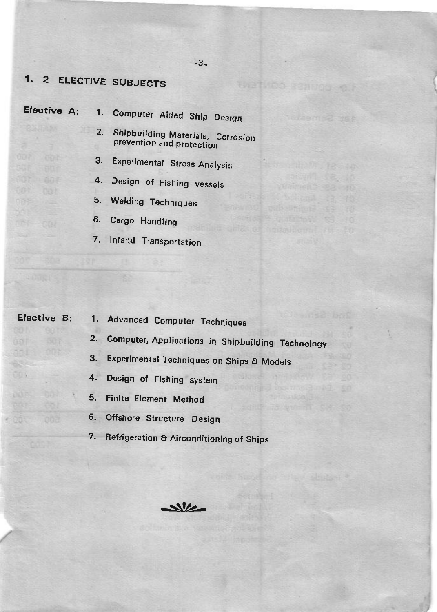## 1. 2 ELECTIVE SUBJECTS

 $1.$ 

- Elective A:
- Computer Aided Ship Design
- Shipbuilding Materials, Corrosion  $2.$ prevention and protection
- **Experimental Stress Analysis**  $3.$
- Design of Fishing vessels  $4.$
- **Welding Techniques** 5.
- Cargo Handling 6.
- 7. Inland Transportation

#### Elective B:

88

and

CD .

- **Advanced Computer Techniques** 1.
- Computer, Applications in Shipbuilding Technology  $2.$
- **Experimental Techniques on Ships & Models**  $3.$
- Design of Fishing system  $4.$
- 5. **Finite Element Method**
- Offshore Structure Design 6.
- 7. **Refrigeration & Airconditioning of Ships**

 $\sim$ 

TWETLING RONDOWS 0.1

pub shri ard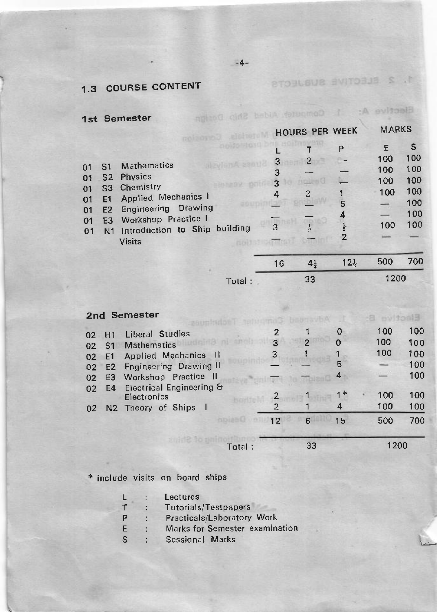## 1.3 COURSE CONTENT

1st Semester

|                       |                                     |                                   | <b>MARKS</b>                         |                                                    |
|-----------------------|-------------------------------------|-----------------------------------|--------------------------------------|----------------------------------------------------|
| 3<br>3<br>3<br>4<br>3 | 2<br>$\mathcal{P}$<br>$\frac{1}{2}$ | P<br>5<br>4<br>$\frac{1}{2}$<br>2 | E<br>100<br>100<br>100<br>100<br>100 | S<br>100<br>100<br>100<br>100<br>100<br>100<br>100 |
| 16                    | $4\frac{1}{2}$                      | $12\frac{1}{2}$                   | 500                                  | 700                                                |
|                       | building<br>Total:                  | 33                                | <b>HOURS PER WEEK</b>                | 1200                                               |

Total:

| n-J Campotor |  |  |  |
|--------------|--|--|--|

|    |                | 2nd Semester                            |    |                |          |      | 419 |
|----|----------------|-----------------------------------------|----|----------------|----------|------|-----|
| 02 | H <sub>1</sub> | Liberal Studies                         | 2  |                | 0        | 100  | 100 |
| 02 | S <sub>1</sub> | <b>Mathematics</b>                      | 3  | $\overline{2}$ | $\Omega$ | 100  | 100 |
| 02 | E <sub>1</sub> | <b>Applied Mechanics</b><br>-11         | 3  |                |          | 100  | 100 |
| 02 | E2             | <b>Engineering Drawing II</b>           |    |                | 5        |      | 100 |
| 02 | E <sub>3</sub> | Workshop Practice II                    |    |                | 4        |      | 100 |
| 02 | E4             | Electrical Engineering &<br>Electronics |    |                |          | 100  | 100 |
| 02 |                | N2 Theory of Ships                      |    |                | 4        | 100  | 100 |
|    |                |                                         | 12 | 6              | 15       | 500  | 700 |
|    |                | Total:                                  |    | 33             |          | 1200 |     |

### \* include visits on board ships

|    |    | Lectures                              |
|----|----|---------------------------------------|
|    |    | <b>Tutorials/Testpapers</b>           |
| P  | Æ. | Practicals/Laboratory Work            |
| F. |    | <b>Marks for Semester examination</b> |
| S. |    | Sessional Marks                       |

 $-4-$ 

1. 2 ELECTIVE SUBJECTS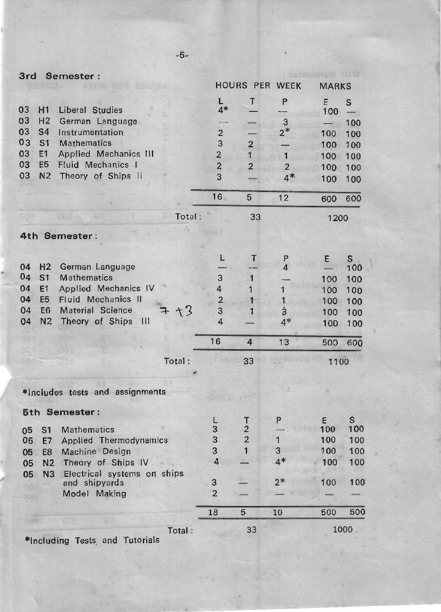| 3rd                                    |                                                                                                           | Semester:                                                                                                                                                                    |                                                                                        |                                                       | <b>HOURS PER WEEK</b>                               | <b>MARKS</b>                                        | :1318                                                   |
|----------------------------------------|-----------------------------------------------------------------------------------------------------------|------------------------------------------------------------------------------------------------------------------------------------------------------------------------------|----------------------------------------------------------------------------------------|-------------------------------------------------------|-----------------------------------------------------|-----------------------------------------------------|---------------------------------------------------------|
| 03<br>03<br>03<br>03<br>03<br>03<br>03 | H1<br>H <sub>2</sub><br><b>S4</b><br>S <sub>1</sub><br>E <sub>1</sub><br>E <sub>5</sub><br>N <sub>2</sub> | <b>Liberal Studies</b><br>German Language<br>Instrumentation<br><b>Mathematics</b><br>Applied Mechanics III<br><b>Fluid Mechanics I</b><br>Theory of Ships II                | L<br>$4*$<br>$\overline{2}$<br>3<br>$\overline{2}$<br>$\overline{2}$<br>$\overline{3}$ | т<br>$\overline{\mathbf{c}}$<br>1<br>$\overline{2}$   | P<br>3<br>$2*$<br>1<br>$\overline{2}$<br>4*         | Ε<br>100<br>100<br>100<br>100<br>100<br>100         | S<br>$\equiv$<br>100<br>100<br>100<br>100<br>100<br>100 |
|                                        |                                                                                                           |                                                                                                                                                                              | 16                                                                                     | 5                                                     | 12                                                  | 600                                                 | 600                                                     |
|                                        |                                                                                                           | Total:<br><b>ODG</b>                                                                                                                                                         |                                                                                        | 33                                                    |                                                     | 1200                                                |                                                         |
|                                        |                                                                                                           | 4th Semester:                                                                                                                                                                |                                                                                        |                                                       |                                                     |                                                     |                                                         |
| 04<br>04<br>04<br>04<br>04<br>04       | H <sub>2</sub><br>S <sub>1</sub><br>E1<br>E <sub>5</sub><br>E <sub>6</sub><br>N <sub>2</sub>              | German Language<br><b>Mathematics</b><br>Applied Mechanics IV<br>Fluid Mechanics II<br>Material Science<br>Theory of Ships<br>Ш<br>Total:                                    | L<br>3<br>$\overline{4}$<br>$\overline{\mathbf{c}}$<br>$\overline{3}$<br>4<br>16       | T<br>$\mathbf{1}$<br>1<br>1<br>1<br>4<br>33           | P<br>$\overline{4}$<br>1<br>$\dot{3}$<br>$4*$<br>13 | E<br>100<br>100<br>100<br>100<br>100<br>500<br>1100 | S.<br>100<br>100<br>100<br>100<br>100<br>100<br>600     |
|                                        |                                                                                                           | *includes tests and assignments                                                                                                                                              |                                                                                        |                                                       |                                                     |                                                     |                                                         |
| 05<br>05<br>05<br>05<br>05             | S <sub>1</sub><br>E7<br>E8<br>N <sub>2</sub><br>N <sub>3</sub>                                            | <b>5th Semester:</b><br><b>Mathematics</b><br>Applied Thermodynamics<br>Machine Design<br>Theory of Ships IV<br>Electrical systems on ships<br>and shipyards<br>Model Making | L<br>3<br>3<br>3<br>4<br>3<br>$\overline{2}$                                           | Т<br>$\overline{2}$<br>$\overline{2}$<br>$\mathbf{1}$ | P<br>$\mathbf{1}$<br>3<br>$4*$<br>$2*$              | E<br>100<br>100<br>100<br>100<br>100                | S<br>100<br>100<br>100<br>100<br>100                    |
|                                        |                                                                                                           |                                                                                                                                                                              | 18                                                                                     | 5                                                     | 10                                                  | 500                                                 | 500                                                     |
|                                        |                                                                                                           | Total:                                                                                                                                                                       |                                                                                        | 33                                                    |                                                     |                                                     | 1000                                                    |

\*Including Tests and Tutorials

 $-5-$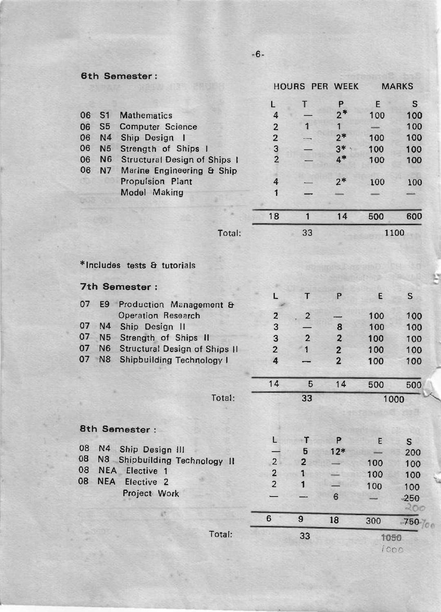### 6th Semester:

|                                                        |                         |                | HOURS PER WEEK          |     | <b>MARKS</b> |
|--------------------------------------------------------|-------------------------|----------------|-------------------------|-----|--------------|
|                                                        | L                       | Т              | P                       | E.  | S            |
| 06<br>S <sub>1</sub><br><b>Mathematics</b>             | 4                       |                | $2*$                    | 100 | 100          |
| 06<br>S <sub>5</sub><br><b>Computer Science</b>        | $\overline{2}$          | 1              | $\mathbf{1}$            |     | 100          |
| N <sub>4</sub><br>06<br>Ship Design                    | $\overline{2}$          |                | $2*$                    | 100 | 100          |
| 06<br><b>N5</b><br>Strength of Ships I                 | 3                       |                | $3*$                    | 100 | 100          |
| 06<br><b>N6</b><br><b>Structural Design of Ships I</b> | $\overline{2}$          |                | $4*$                    | 100 | 100          |
| 06<br><b>N7</b><br>Marine Engineering & Ship           |                         |                |                         |     |              |
| <b>Propulsion Plant</b>                                | $\overline{4}$          |                | $2*$                    | 100 | 100          |
| Model Making                                           | 1                       |                |                         |     |              |
|                                                        |                         |                |                         |     |              |
|                                                        | 18                      | $\overline{1}$ | 14                      | 500 | 600          |
| Total:                                                 |                         | 33             |                         |     | 1100         |
| *Includes tests & tutorials                            |                         |                |                         |     |              |
|                                                        |                         |                |                         |     |              |
| 7th Semester:                                          |                         |                | P                       |     |              |
| 07<br>E9<br>Production Management &                    | L                       | Τ              |                         | E   | S            |
| <b>Operation Research</b>                              | $\overline{\mathbf{z}}$ | $\overline{2}$ |                         | 100 | 100          |
| 07<br>N4<br>Ship Design II                             | 3                       |                | 8                       | 100 | 100          |
| 07<br>N5<br>Strength of Ships II                       | 3                       | $\overline{2}$ | $\overline{2}$          | 100 | 100          |
| 07<br>N <sub>6</sub><br>Structural Design of Ships II  | $\overline{2}$          | $\mathbf{1}$   | $\overline{\mathbf{2}}$ | 100 | 100          |
| 07<br><b>N8</b><br><b>Shipbuilding Technology I</b>    | 4                       |                | $\overline{2}$          | 100 | 100          |
|                                                        |                         |                |                         |     |              |
|                                                        | 14                      | 5              | 14                      | 500 | 500          |
| Total:                                                 |                         | 33             |                         |     | 1000         |
|                                                        |                         |                |                         |     |              |
| 8th Semester :                                         |                         |                |                         |     |              |
| 08<br>N4                                               | L                       | $\mathsf{T}$   | P                       | E   | S            |
| Ship Design III<br>08<br>N <sub>8</sub>                |                         | 5              | $12*$                   |     | 200          |
| Shipbuilding Technology II<br>08<br>NEA Elective 1     | $\overline{2}$          | $\overline{2}$ |                         | 100 | 100          |
| 80<br><b>NEA</b><br>Elective 2                         | $\overline{2}$          | $\mathbf{1}$   |                         | 100 | 100          |
|                                                        | $\overline{2}$          | 1              | 1/3                     | 100 | 100          |
| Project Work                                           |                         |                | $6\phantom{a}$          |     | 250          |
| ø                                                      | 6                       |                |                         |     | 200          |
|                                                        |                         | $\overline{9}$ | 18                      | 300 | 750          |
| Total:                                                 |                         | 33             |                         |     | 1050         |

 $1000$ 

 $-6-$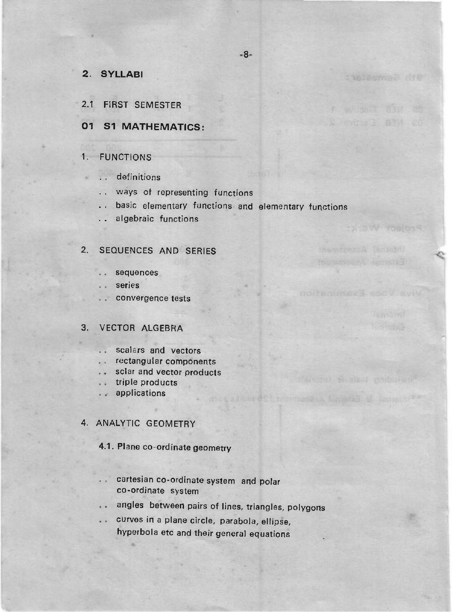#### 2. SYLLABI

2.1 FIRST SEMESTER

#### 01 51 MATHEMATICS:

#### 1. FUNCTIONS

- definitions
- . . ways of representing functions
- . . basic elementary functions and elementary tunctions
- algebraic functions

#### 2. SEQUENCES AND SERIES

- sequences
- series
- convergence tests

#### 3. VECTOR ALGEBHA

- scalars and vectors
- .. rectangular components
- sclar and vector products  $\cdot$ .
- triple products
- applications

#### 4. ANALYTIC GEOMETRY

- 4.1 . Plane co-ordinate geometry
- cartesian co-ordinate system and polar in. co-ordinate system
- angles between pairs of lines, triangles, polygons
- curves in a plane circle, parabola, ellipse, hyperbola etc and their general equations \_

9th Gemeeter:

Project Work:

iliterative street made all

advanced to the company A Lineary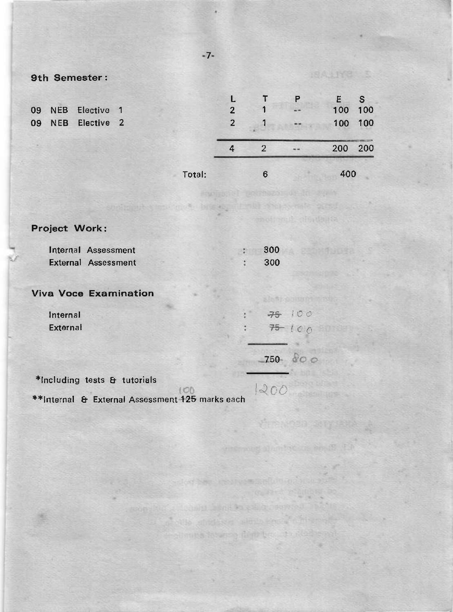| 9th Semester: |  |  |  |  |  |  |
|---------------|--|--|--|--|--|--|
|---------------|--|--|--|--|--|--|

|    |            |            | Total: |                | 6 |                                | 400 |     |
|----|------------|------------|--------|----------------|---|--------------------------------|-----|-----|
|    |            |            |        | Δ              | っ | <b><i><u><b>PR</b></u></i></b> | 200 | 200 |
| 09 | <b>NEB</b> | Elective 2 |        | $\overline{2}$ |   |                                | 100 | 100 |
| 09 | <b>NEB</b> | Elective 1 |        | $\mathfrak{p}$ |   | $+ -$                          | 100 | 100 |
|    |            |            |        |                |   | P                              | E   | S   |

environment on A largest strain short-mile and a

Solon New York has a trafficing

di otta antikke siona en destinana livense deri bos

mon-leit . It hall label to calle near

A change

#### Project Work:

| Internal Assessment                             |     | 300         |
|-------------------------------------------------|-----|-------------|
| <b>External Assessment</b>                      |     | 300         |
| <b>Viva Voce Examination</b>                    |     |             |
| Internal                                        |     | 75100       |
| <b>External</b>                                 |     | 75100       |
|                                                 |     | $750 - 800$ |
| *Including tests & tutorials                    |     |             |
| **Internal & External Assessment 125 marks each | CDD | 200         |

 $-7-$ 

**JEALIYS S**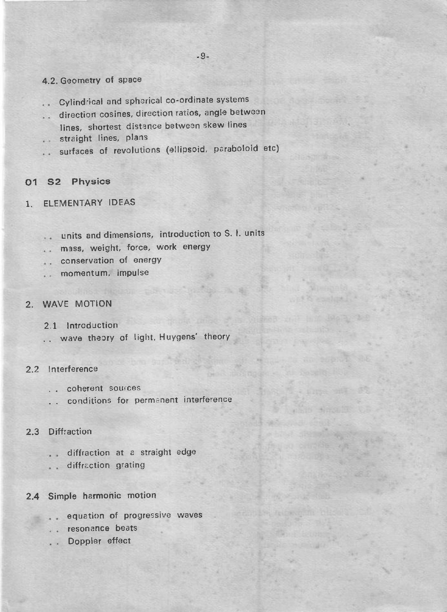#### 4.2. Geometry of space

- Cylindrical and spherical co-ordinate systems
- direction cosines, direction ratios, angle between W. lines, shortest distance between skew lines straight lines, plans
- surfaces of revolutions (ellipsoid, paraboloid etc)

#### O1 S2 Physics

#### 1. ELEMENTARY IDEAS

- units and dimensions, introduction to S. l. units
- .. mass, weight, force, work energy
- conservation of energy
- momentum, impulse

#### 2. WAVE MOTION

#### 2.1 lntroduction

.. wave thecry of light, Huygens' theory

#### 2.2 Interference

- .. coherent sources
- conditions for permanent interference

#### 2.3 Diffraction

- .. diffraction at a straight edge
- .. diffraction grating

#### 2.4 Simple hatmohic motion

- equation of progressive waves
- resonance beats
- Doppler effect

办 程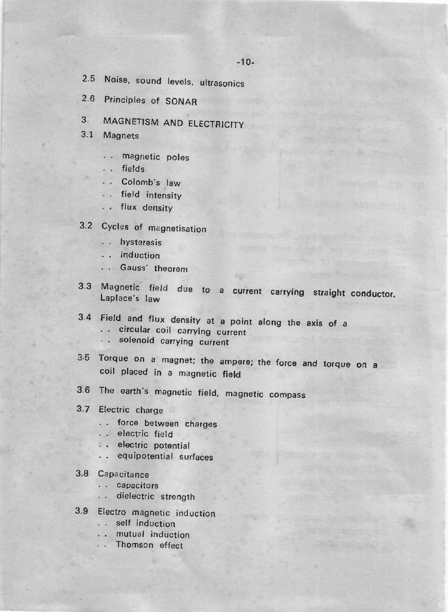- 2.5 Noise, sound levels, ultrasonics
- 2.6 Principles of SONAR
- MAGNETISM AND ELECTRICITY  $3.$
- 3.1 Magnets
	- magnetic poles
	- fields 22
	- .. Colomb's law
	- .. field intensity
	- .. flux density
- 3.2 Cycles of megnetisation
	- . hysteresis
	- . induction
	- . Gauss' theorem
- 3.3 Magnetic field due to a current carrying straight conductor Laplace's law

30

- 3.4 Field and flux density at a point along the axis of a
	- . circular coil carrying current
	- . solenoid carrying current
- $3.5$  Torque on a magnet; the ampere; the force and torque on a coil placed in a magnetic field
- 3.6 The earth's magnetic field, magnetic compass
- 3.7 Electric charge
	- . force between charges
	- .. electric field
	- .. electric potential
	- .. equipotential surfaces
- 3.8 Capacitance
	- . capacitors
	- . dielectric strength
- 3.9 Electro magnetic induction
	- . . self induction
		- mutual induction
	- . Thomson effect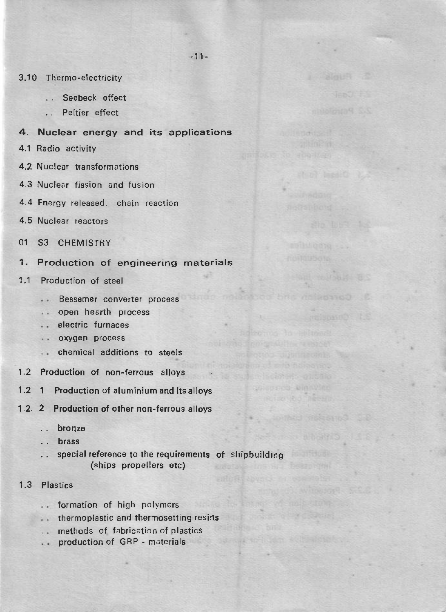- 3.10 Thermo-electricity
	- . . Seebeck effect
	- .. Peltier effect

4. Nuclear energy and its applications

- 4.1 Radio activity
- 4.2 Nuclear transformations
- 4.3 Nuclear fission and fusion
- 4.4 Energy released, chain reaction
- 4.5 Nuclear reactors
- 01 S3 CHEMISTRY
- 1. Production of engineering materials
- 1.1 Production of steel
	- Bessemer converter process  $\cdots$
	- open he6rth process A.
	- electric furnaces  $\dddot{\phantom{0}}$
	- oxygen process . . .
	- chemical additions to steels  $\mathbb{R}$
- 1.2 Production of non-ferrous alloys
- 1.2 1 Production of aluminium and its alloys
- <sup>1</sup>.2. 2 Production of other non-ferrous alloys
	- . . bronza
	- . . brass
	- .. special reference to the requirements of shipbuilding (ships ptopellers etc)
- 1.3 Plastics
	- .. formation of high polymers
	- thermoplastic and thermosetting resins  $\mathcal{L}^{\mathcal{L}}$
	- methods of fabrication of plastics
	- production of GRP materials

**Innance of** 

poisoned binayles The Tage value of The Same

saran wilder selvalent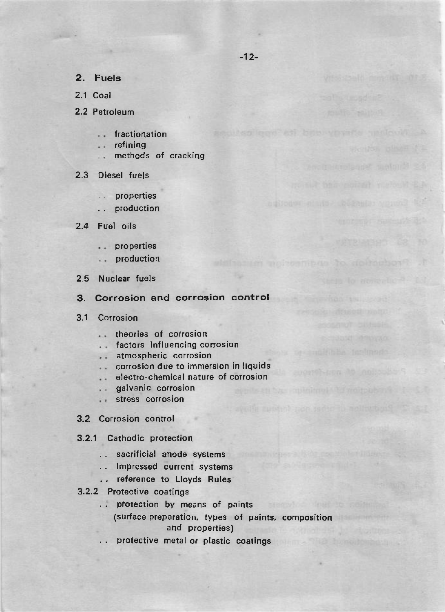- 2. Fuels
- 2.1 Coal
- 2.2 Petroleum
	- tractionation
	- refining **START** 
		- methods of cracking

#### 2.3 Diesel fuels

- . . properties
- . . production
- 2.4 Fuel oils
	- properties  $\ddotsc$
	- production  $\sim$
- 2.5 Nuclear fuels

## 3. Corrosion and corrosion control

#### 3.1 **Corrosion**

- theories of corrosion
- factors influencing corrosion
- atmospheric corrosion
- corrosion due to immersion in liquids
- electro-chemical nature of corrosion  $\sim$
- galvanic corrosion 22
- .. stress corrosion

#### 3.2 Corrosion control

#### 3.2.1 Cathodic protection

- . . sacrificial anode systems
- . . lmpressed current systems
- . . reference to Lloyds Rules

#### 3.2.2 Protective coatings

- . . piotection by means of paints
	- (surface preparation, types of paints, composition and properties) . . protective metal o. plastic coatings
- 

all sourced the config saided.